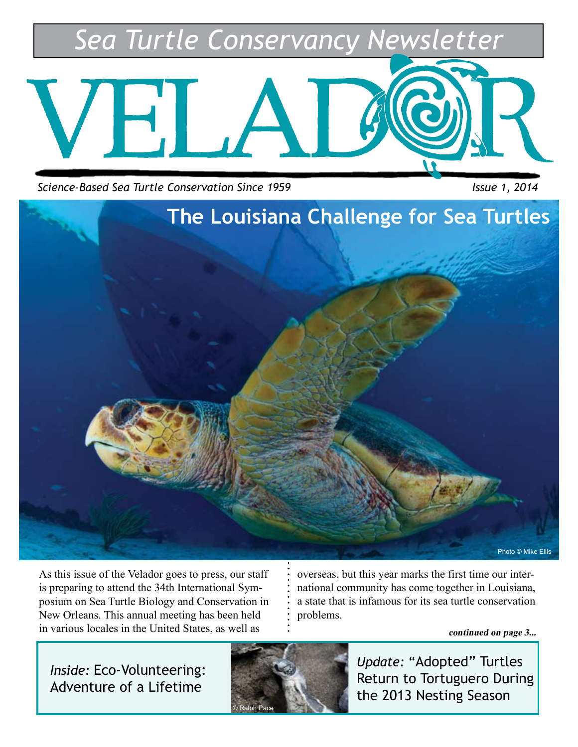*Sea Turtle Conservancy Newsletter*



*Science-Based Sea Turtle Conservation Since 1959* Issue 1, 2014



As this issue of the Velador goes to press, our staff is preparing to attend the 34th International Symposium on Sea Turtle Biology and Conservation in New Orleans. This annual meeting has been held in various locales in the United States, as well as

overseas, but this year marks the first time our international community has come together in Louisiana, a state that is infamous for its sea turtle conservation problems.

**continued on page 3...**

*Inside:* Eco-Volunteering: Adventure of a Lifetime



*Update:* "Adopted" Turtles Return to Tortuguero During the 2013 Nesting Season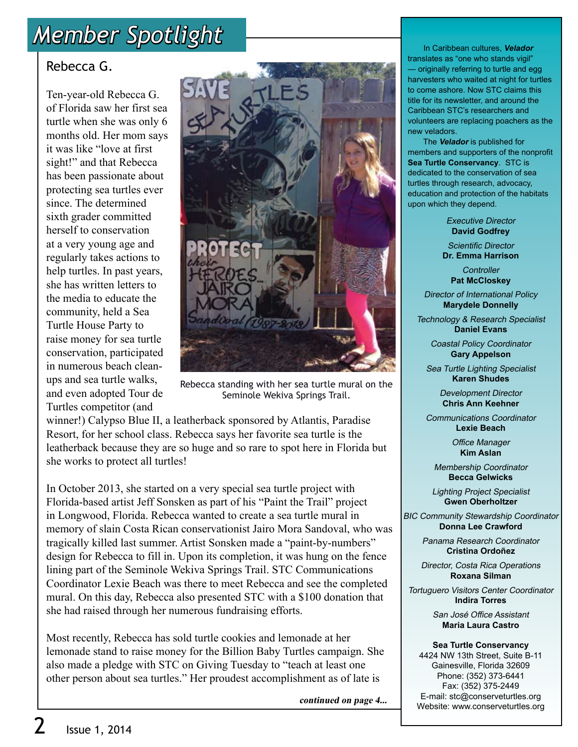# *Member Spotlight*

### Rebecca G.

Ten-year-old Rebecca G. of Florida saw her first sea turtle when she was only 6 months old. Her mom says it was like "love at first sight!" and that Rebecca has been passionate about protecting sea turtles ever since. The determined sixth grader committed herself to conservation at a very young age and regularly takes actions to help turtles. In past years, she has written letters to the media to educate the community, held a Sea Turtle House Party to raise money for sea turtle conservation, participated in numerous beach cleanups and sea turtle walks, and even adopted Tour de Turtles competitor (and



Rebecca standing with her sea turtle mural on the Seminole Wekiva Springs Trail.

winner!) Calypso Blue II, a leatherback sponsored by Atlantis, Paradise Resort, for her school class. Rebecca says her favorite sea turtle is the leatherback because they are so huge and so rare to spot here in Florida but she works to protect all turtles!

In October 2013, she started on a very special sea turtle project with Florida-based artist Jeff Sonsken as part of his "Paint the Trail" project in Longwood, Florida. Rebecca wanted to create a sea turtle mural in memory of slain Costa Rican conservationist Jairo Mora Sandoval, who was tragically killed last summer. Artist Sonsken made a "paint-by-numbers" design for Rebecca to fill in. Upon its completion, it was hung on the fence lining part of the Seminole Wekiva Springs Trail. STC Communications Coordinator Lexie Beach was there to meet Rebecca and see the completed mural. On this day, Rebecca also presented STC with a \$100 donation that she had raised through her numerous fundraising efforts.

Most recently, Rebecca has sold turtle cookies and lemonade at her lemonade stand to raise money for the Billion Baby Turtles campaign. She also made a pledge with STC on Giving Tuesday to "teach at least one other person about sea turtles." Her proudest accomplishment as of late is

**continued on page 4...**

 In Caribbean cultures, **Velador** translates as "one who stands vigil" — originally referring to turtle and egg harvesters who waited at night for turtles to come ashore. Now STC claims this title for its newsletter, and around the Caribbean STC's researchers and volunteers are replacing poachers as the new veladors.

 The **Velador** is published for members and supporters of the nonprofit **Sea Turtle Conservancy**. STC is dedicated to the conservation of sea turtles through research, advocacy, education and protection of the habitats upon which they depend.

> Executive Director **David Godfrey**

Scientific Director **Dr. Emma Harrison**

**Controller Pat McCloskey**

Director of International Policy **Marydele Donnelly**

Technology & Research Specialist **Daniel Evans**

> Coastal Policy Coordinator **Gary Appelson**

Sea Turtle Lighting Specialist **Karen Shudes**

> Development Director **Chris Ann Keehner**

Communications Coordinator **Lexie Beach**

> Office Manager **Kim Aslan**

Membership Coordinator **Becca Gelwicks**

Lighting Project Specialist **Gwen Oberholtzer**

BIC Community Stewardship Coordinator **Donna Lee Crawford**

> Panama Research Coordinator **Cristina Ordoñez**

> Director, Costa Rica Operations **Roxana Silman**

Tortuguero Visitors Center Coordinator **Indira Torres**

> San José Office Assistant **Maria Laura Castro**

**Sea Turtle Conservancy** 4424 NW 13th Street, Suite B-11 Gainesville, Florida 32609 Phone: (352) 373-6441 Fax: (352) 375-2449 E-mail: stc@conserveturtles.org Website: www.conserveturtles.org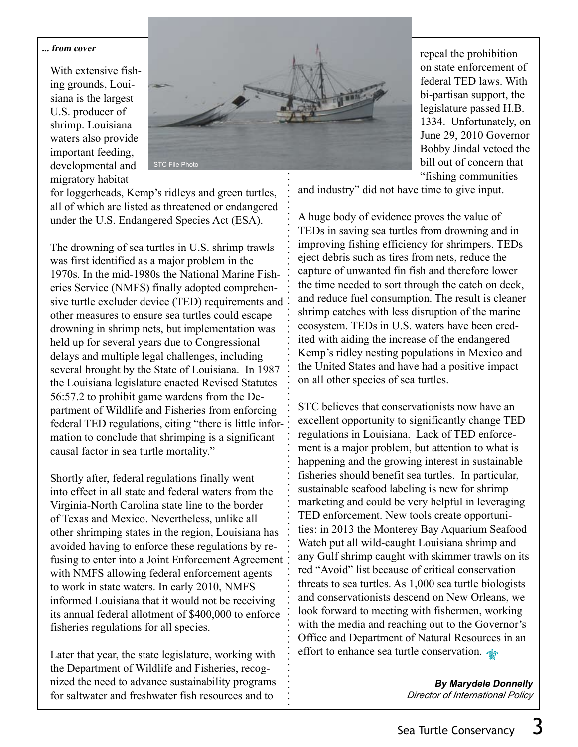#### **... from cover**

With extensive fishing grounds, Louisiana is the largest U.S. producer of shrimp. Louisiana waters also provide important feeding, developmental and migratory habitat



for loggerheads, Kemp's ridleys and green turtles, all of which are listed as threatened or endangered under the U.S. Endangered Species Act (ESA).

The drowning of sea turtles in U.S. shrimp trawls was first identified as a major problem in the 1970s. In the mid-1980s the National Marine Fisheries Service (NMFS) finally adopted comprehensive turtle excluder device (TED) requirements and other measures to ensure sea turtles could escape drowning in shrimp nets, but implementation was held up for several years due to Congressional delays and multiple legal challenges, including several brought by the State of Louisiana. In 1987 the Louisiana legislature enacted Revised Statutes 56:57.2 to prohibit game wardens from the Department of Wildlife and Fisheries from enforcing federal TED regulations, citing "there is little information to conclude that shrimping is a significant causal factor in sea turtle mortality."

Shortly after, federal regulations finally went into effect in all state and federal waters from the Virginia-North Carolina state line to the border of Texas and Mexico. Nevertheless, unlike all other shrimping states in the region, Louisiana has avoided having to enforce these regulations by refusing to enter into a Joint Enforcement Agreement with NMFS allowing federal enforcement agents to work in state waters. In early 2010, NMFS informed Louisiana that it would not be receiving its annual federal allotment of \$400,000 to enforce fisheries regulations for all species.

Later that year, the state legislature, working with the Department of Wildlife and Fisheries, recognized the need to advance sustainability programs for saltwater and freshwater fish resources and to

repeal the prohibition on state enforcement of federal TED laws. With bi-partisan support, the legislature passed H.B. 1334. Unfortunately, on June 29, 2010 Governor Bobby Jindal vetoed the bill out of concern that "fishing communities

and industry" did not have time to give input.

A huge body of evidence proves the value of TEDs in saving sea turtles from drowning and in improving fishing efficiency for shrimpers. TEDs eject debris such as tires from nets, reduce the capture of unwanted fin fish and therefore lower the time needed to sort through the catch on deck, and reduce fuel consumption. The result is cleaner shrimp catches with less disruption of the marine ecosystem. TEDs in U.S. waters have been credited with aiding the increase of the endangered Kemp's ridley nesting populations in Mexico and the United States and have had a positive impact on all other species of sea turtles.

STC believes that conservationists now have an excellent opportunity to significantly change TED regulations in Louisiana. Lack of TED enforcement is a major problem, but attention to what is happening and the growing interest in sustainable fisheries should benefit sea turtles. In particular, sustainable seafood labeling is new for shrimp marketing and could be very helpful in leveraging TED enforcement. New tools create opportunities: in 2013 the Monterey Bay Aquarium Seafood Watch put all wild-caught Louisiana shrimp and any Gulf shrimp caught with skimmer trawls on its red "Avoid" list because of critical conservation threats to sea turtles. As 1,000 sea turtle biologists and conservationists descend on New Orleans, we look forward to meeting with fishermen, working with the media and reaching out to the Governor's Office and Department of Natural Resources in an effort to enhance sea turtle conservation.

> **By Marydele Donnelly** *Director of International Policy*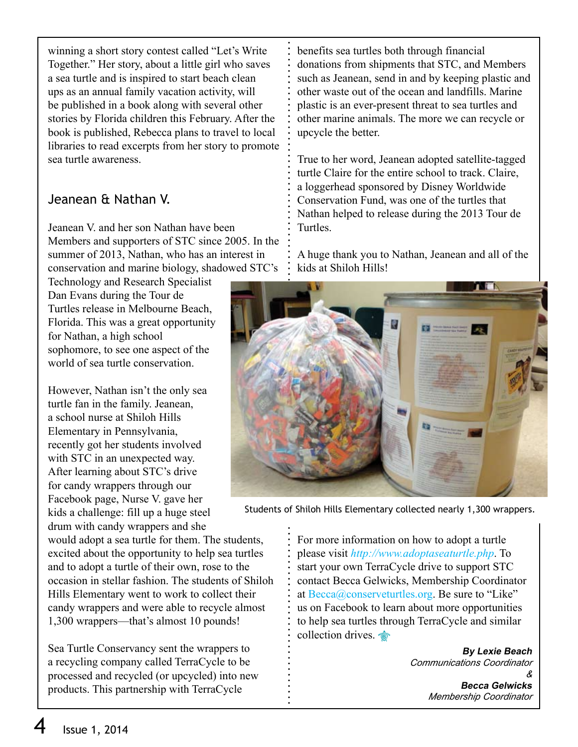winning a short story contest called "Let's Write Together." Her story, about a little girl who saves a sea turtle and is inspired to start beach clean ups as an annual family vacation activity, will be published in a book along with several other stories by Florida children this February. After the book is published, Rebecca plans to travel to local libraries to read excerpts from her story to promote sea turtle awareness.

#### Jeanean & Nathan V.

Jeanean V. and her son Nathan have been Members and supporters of STC since 2005. In the summer of 2013, Nathan, who has an interest in conservation and marine biology, shadowed STC's

Technology and Research Specialist Dan Evans during the Tour de Turtles release in Melbourne Beach, Florida. This was a great opportunity for Nathan, a high school sophomore, to see one aspect of the world of sea turtle conservation.

However, Nathan isn't the only sea turtle fan in the family. Jeanean, a school nurse at Shiloh Hills Elementary in Pennsylvania, recently got her students involved with STC in an unexpected way. After learning about STC's drive for candy wrappers through our Facebook page, Nurse V. gave her kids a challenge: fill up a huge steel drum with candy wrappers and she

would adopt a sea turtle for them. The students, excited about the opportunity to help sea turtles and to adopt a turtle of their own, rose to the occasion in stellar fashion. The students of Shiloh Hills Elementary went to work to collect their candy wrappers and were able to recycle almost 1,300 wrappers—that's almost 10 pounds!

Sea Turtle Conservancy sent the wrappers to a recycling company called TerraCycle to be processed and recycled (or upcycled) into new products. This partnership with TerraCycle

benefits sea turtles both through financial donations from shipments that STC, and Members such as Jeanean, send in and by keeping plastic and other waste out of the ocean and landfills. Marine plastic is an ever-present threat to sea turtles and other marine animals. The more we can recycle or upcycle the better.

True to her word, Jeanean adopted satellite-tagged turtle Claire for the entire school to track. Claire, a loggerhead sponsored by Disney Worldwide Conservation Fund, was one of the turtles that Nathan helped to release during the 2013 Tour de Turtles.

A huge thank you to Nathan, Jeanean and all of the kids at Shiloh Hills!



Students of Shiloh Hills Elementary collected nearly 1,300 wrappers.

For more information on how to adopt a turtle please visit *http://www.adoptaseaturtle.php*. To start your own TerraCycle drive to support STC contact Becca Gelwicks, Membership Coordinator at  $\text{Becca}(a)$  conserveturtles.org. Be sure to "Like" us on Facebook to learn about more opportunities to help sea turtles through TerraCycle and similar collection drives.

> **By Lexie Beach** *Communications Coordinator &*  **Becca Gelwicks** *Membership Coordinator*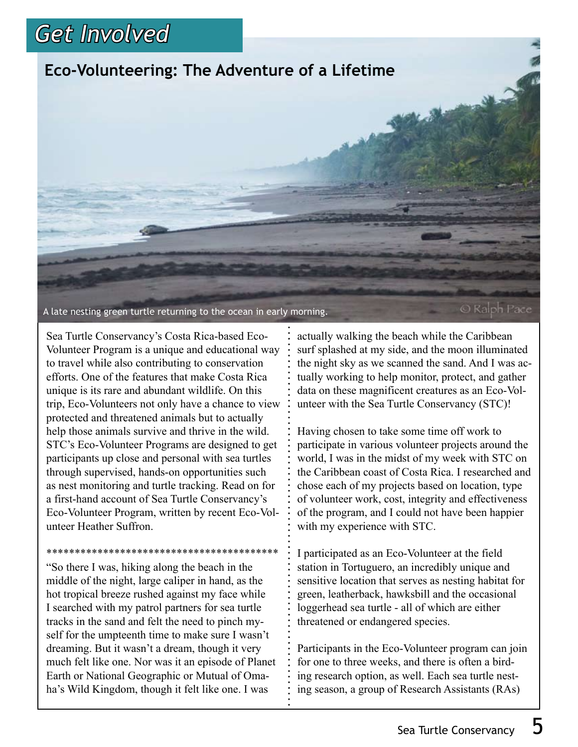## *Get Involved*

### **Eco-Volunteering: The Adventure of a Lifetime**

A late nesting green turtle returning to the ocean in early morning.

© Ralph Pace

Sea Turtle Conservancy's Costa Rica-based Eco-Volunteer Program is a unique and educational way to travel while also contributing to conservation efforts. One of the features that make Costa Rica unique is its rare and abundant wildlife. On this trip, Eco-Volunteers not only have a chance to view protected and threatened animals but to actually help those animals survive and thrive in the wild. STC's Eco-Volunteer Programs are designed to get participants up close and personal with sea turtles through supervised, hands-on opportunities such as nest monitoring and turtle tracking. Read on for a first-hand account of Sea Turtle Conservancy's Eco-Volunteer Program, written by recent Eco-Volunteer Heather Suffron.

\*\*\*\*\*\*\*\*\*\*\*\*\*\*\*\*\*\*\*\*\*\*\*\*\*\*\*\*\*\*\*\*\*\*\*\*\*\*\*\*\* "So there I was, hiking along the beach in the middle of the night, large caliper in hand, as the hot tropical breeze rushed against my face while I searched with my patrol partners for sea turtle tracks in the sand and felt the need to pinch myself for the umpteenth time to make sure I wasn't dreaming. But it wasn't a dream, though it very much felt like one. Nor was it an episode of Planet Earth or National Geographic or Mutual of Omaha's Wild Kingdom, though it felt like one. I was

actually walking the beach while the Caribbean surf splashed at my side, and the moon illuminated the night sky as we scanned the sand. And I was actually working to help monitor, protect, and gather data on these magnificent creatures as an Eco-Volunteer with the Sea Turtle Conservancy (STC)!

Having chosen to take some time off work to participate in various volunteer projects around the world, I was in the midst of my week with STC on the Caribbean coast of Costa Rica. I researched and chose each of my projects based on location, type of volunteer work, cost, integrity and effectiveness of the program, and I could not have been happier with my experience with STC.

I participated as an Eco-Volunteer at the field station in Tortuguero, an incredibly unique and sensitive location that serves as nesting habitat for green, leatherback, hawksbill and the occasional loggerhead sea turtle - all of which are either threatened or endangered species.

Participants in the Eco-Volunteer program can join for one to three weeks, and there is often a birding research option, as well. Each sea turtle nesting season, a group of Research Assistants (RAs)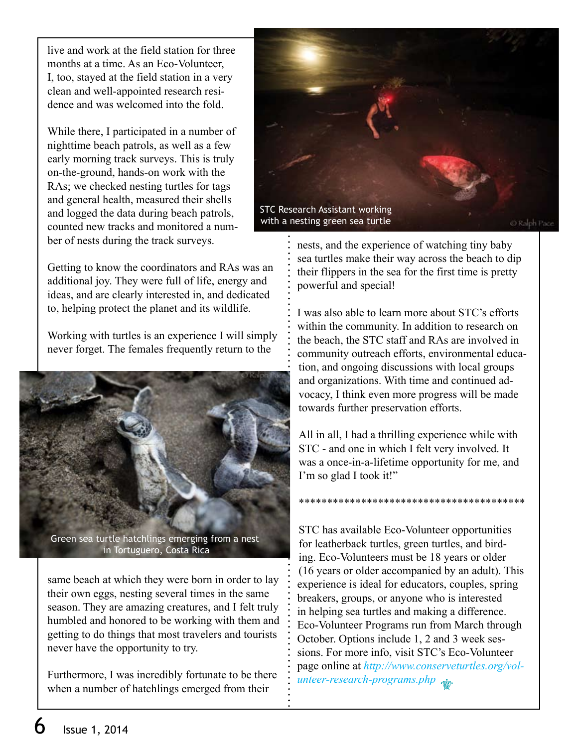live and work at the field station for three months at a time. As an Eco-Volunteer, I, too, stayed at the field station in a very clean and well-appointed research residence and was welcomed into the fold.

While there, I participated in a number of nighttime beach patrols, as well as a few early morning track surveys. This is truly on-the-ground, hands-on work with the RAs; we checked nesting turtles for tags and general health, measured their shells and logged the data during beach patrols, counted new tracks and monitored a number of nests during the track surveys.

Getting to know the coordinators and RAs was an additional joy. They were full of life, energy and ideas, and are clearly interested in, and dedicated to, helping protect the planet and its wildlife.

Working with turtles is an experience I will simply never forget. The females frequently return to the



Green sea turtle hatchlings emerging from a nest in Tortuguero, Costa Rica

same beach at which they were born in order to lay their own eggs, nesting several times in the same season. They are amazing creatures, and I felt truly humbled and honored to be working with them and getting to do things that most travelers and tourists never have the opportunity to try.

Furthermore, I was incredibly fortunate to be there when a number of hatchlings emerged from their



nests, and the experience of watching tiny baby sea turtles make their way across the beach to dip their flippers in the sea for the first time is pretty powerful and special!

I was also able to learn more about STC's efforts within the community. In addition to research on the beach, the STC staff and RAs are involved in community outreach efforts, environmental education, and ongoing discussions with local groups and organizations. With time and continued advocacy, I think even more progress will be made towards further preservation efforts.

All in all, I had a thrilling experience while with STC - and one in which I felt very involved. It was a once-in-a-lifetime opportunity for me, and I'm so glad I took it!"

\*\*\*\*\*\*\*\*\*\*\*\*\*\*\*\*\*\*\*\*\*\*\*\*\*\*\*\*\*\*\*\*\*\*\*\*\*\*\*\*

STC has available Eco-Volunteer opportunities for leatherback turtles, green turtles, and birding. Eco-Volunteers must be 18 years or older (16 years or older accompanied by an adult). This experience is ideal for educators, couples, spring breakers, groups, or anyone who is interested in helping sea turtles and making a difference. Eco-Volunteer Programs run from March through October. Options include 1, 2 and 3 week sessions. For more info, visit STC's Eco-Volunteer page online at *http://www.conserveturtles.org/volunteer-research-programs.php*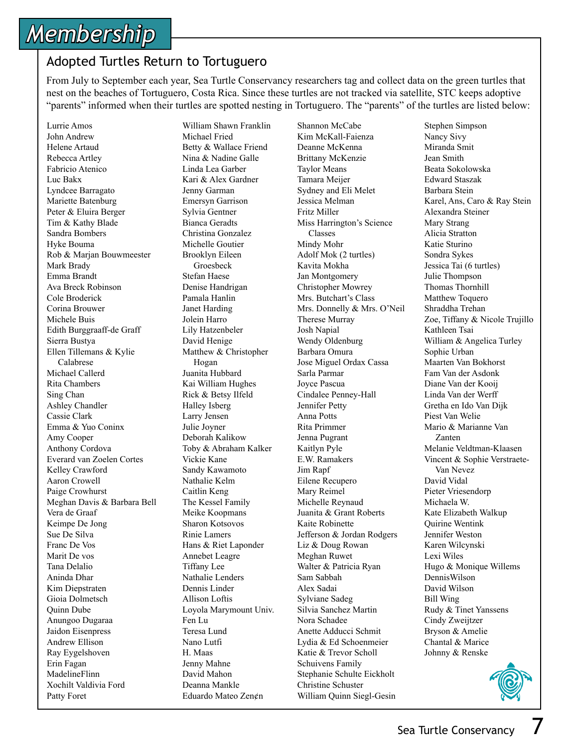# *Membership*

#### Adopted Turtles Return to Tortuguero

From July to September each year, Sea Turtle Conservancy researchers tag and collect data on the green turtles that nest on the beaches of Tortuguero, Costa Rica. Since these turtles are not tracked via satellite, STC keeps adoptive "parents" informed when their turtles are spotted nesting in Tortuguero. The "parents" of the turtles are listed below:

Lurrie Amos John Andrew Helene Artaud Rebecca Artley Fabricio Atenico Luc Bakx Lyndcee Barragato Mariette Batenburg Peter & Eluira Berger Tim & Kathy Blade Sandra Bombers Hyke Bouma Rob & Marjan Bouwmeester Mark Brady Emma Brandt Ava Breck Robinson Cole Broderick Corina Brouwer Michele Buis Edith Burggraaff-de Graff Sierra Bustya Ellen Tillemans & Kylie Calabrese Michael Callerd Rita Chambers Sing Chan Ashley Chandler Cassie Clark Emma & Yuo Coninx Amy Cooper Anthony Cordova Everard van Zoelen Cortes Kelley Crawford Aaron Crowell Paige Crowhurst Meghan Davis & Barbara Bell Vera de Graaf Keimpe De Jong Sue De Silva Franc De Vos Marit De vos Tana Delalio Aninda Dhar Kim Diepstraten Gioia Dolmetsch Quinn Dube Anungoo Dugaraa Jaidon Eisenpress Andrew Ellison Ray Eygelshoven Erin Fagan MadelineFlinn Xochilt Valdivia Ford Patty Foret

William Shawn Franklin Michael Fried Betty & Wallace Friend Nina & Nadine Galle Linda Lea Garber Kari & Alex Gardner Jenny Garman Emersyn Garrison Sylvia Gentner Bianca Geradts Christina Gonzalez Michelle Goutier Brooklyn Eileen Groesbeck Stefan Haese Denise Handrigan Pamala Hanlin Janet Harding Jolein Harro Lily Hatzenbeler David Henige Matthew & Christopher Hogan Juanita Hubbard Kai William Hughes Rick & Betsy Ilfeld Halley Isberg Larry Jensen Julie Joyner Deborah Kalikow Toby & Abraham Kalker Vickie Kane Sandy Kawamoto Nathalie Kelm Caitlin Keng The Kessel Family Meike Koopmans Sharon Kotsovos Rinie Lamers Hans & Riet Laponder Annebet Leagre Tiffany Lee Nathalie Lenders Dennis Linder Allison Loftis Loyola Marymount Univ. Fen Lu Teresa Lund Nano Lutfi H. Maas Jenny Mahne David Mahon Deanna Mankle Eduardo Mateo Zen¢n

Shannon McCabe Kim McKall-Faienza Deanne McKenna Brittany McKenzie Taylor Means Tamara Meijer Sydney and Eli Melet Jessica Melman Fritz Miller Miss Harrington's Science Classes Mindy Mohr Adolf Mok (2 turtles) Kavita Mokha Jan Montgomery Christopher Mowrey Mrs. Butchart's Class Mrs. Donnelly & Mrs. O'Neil Therese Murray Josh Napial Wendy Oldenburg Barbara Omura Jose Miguel Ordax Cassa Sarla Parmar Joyce Pascua Cindalee Penney-Hall Jennifer Petty Anna Potts Rita Primmer Jenna Pugrant Kaitlyn Pyle E.W. Ramakers Jim Rapf Eilene Recupero Mary Reimel Michelle Reynaud Juanita & Grant Roberts Kaite Robinette Jefferson & Jordan Rodgers Liz & Doug Rowan Meghan Ruwet Walter & Patricia Ryan Sam Sabbah Alex Sadai Sylviane Sadeg Silvia Sanchez Martin Nora Schadee Anette Adducci Schmit Lydia & Ed Schoenmeier Katie & Trevor Scholl Schuivens Family Stephanie Schulte Eickholt Christine Schuster William Quinn Siegl-Gesin

Stephen Simpson Nancy Sivy Miranda Smit Jean Smith Beata Sokolowska Edward Staszak Barbara Stein Karel, Ans, Caro & Ray Stein Alexandra Steiner Mary Strang Alicia Stratton Katie Sturino Sondra Sykes Jessica Tai (6 turtles) Julie Thompson Thomas Thornhill Matthew Toquero Shraddha Trehan Zoe, Tiffany & Nicole Trujillo Kathleen Tsai William & Angelica Turley Sophie Urban Maarten Van Bokhorst Fam Van der Asdonk Diane Van der Kooij Linda Van der Werff Gretha en Ido Van Dijk Piest Van Welie Mario & Marianne Van Zanten Melanie Veldtman-Klaasen Vincent & Sophie Verstraete- Van Nevez David Vidal Pieter Vriesendorp Michaela W. Kate Elizabeth Walkup Quirine Wentink Jennifer Weston Karen Wilcynski Lexi Wiles Hugo & Monique Willems DennisWilson David Wilson Bill Wing Rudy & Tinet Yanssens Cindy Zweijtzer Bryson & Amelie Chantal & Marice Johnny & Renske